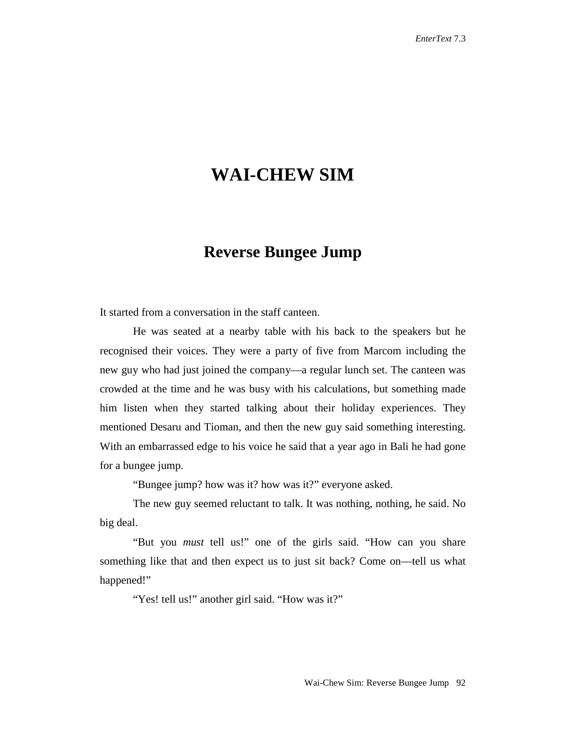## **WAI-CHEW SIM**

## **Reverse Bungee Jump**

It started from a conversation in the staff canteen.

He was seated at a nearby table with his back to the speakers but he recognised their voices. They were a party of five from Marcom including the new guy who had just joined the company––a regular lunch set. The canteen was crowded at the time and he was busy with his calculations, but something made him listen when they started talking about their holiday experiences. They mentioned Desaru and Tioman, and then the new guy said something interesting. With an embarrassed edge to his voice he said that a year ago in Bali he had gone for a bungee jump.

"Bungee jump? how was it? how was it?" everyone asked.

The new guy seemed reluctant to talk. It was nothing, nothing, he said. No big deal.

"But you *must* tell us!" one of the girls said. "How can you share something like that and then expect us to just sit back? Come on––tell us what happened!"

"Yes! tell us!" another girl said. "How was it?"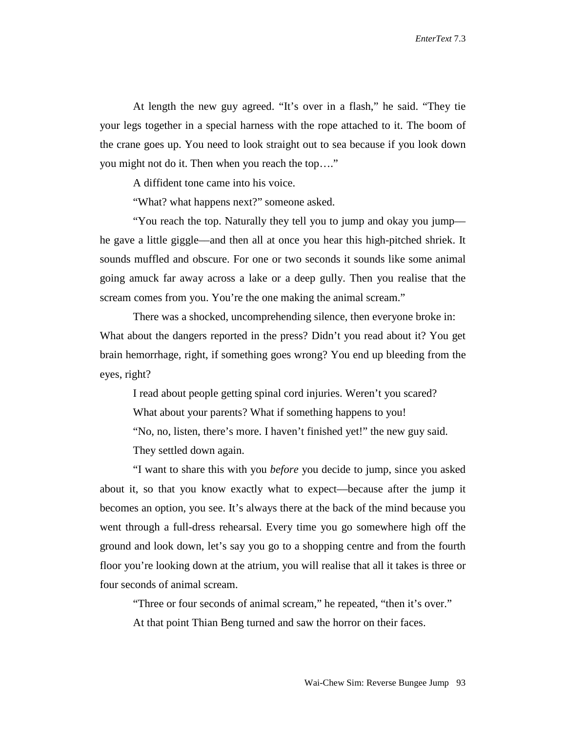At length the new guy agreed. "It's over in a flash," he said. "They tie your legs together in a special harness with the rope attached to it. The boom of the crane goes up. You need to look straight out to sea because if you look down you might not do it. Then when you reach the top…."

A diffident tone came into his voice.

"What? what happens next?" someone asked.

"You reach the top. Naturally they tell you to jump and okay you jump–– he gave a little giggle––and then all at once you hear this high-pitched shriek. It sounds muffled and obscure. For one or two seconds it sounds like some animal going amuck far away across a lake or a deep gully. Then you realise that the scream comes from you. You're the one making the animal scream."

There was a shocked, uncomprehending silence, then everyone broke in: What about the dangers reported in the press? Didn't you read about it? You get brain hemorrhage, right, if something goes wrong? You end up bleeding from the eyes, right?

I read about people getting spinal cord injuries. Weren't you scared? What about your parents? What if something happens to you! "No, no, listen, there's more. I haven't finished yet!" the new guy said. They settled down again.

"I want to share this with you *before* you decide to jump, since you asked about it, so that you know exactly what to expect––because after the jump it becomes an option, you see. It's always there at the back of the mind because you went through a full-dress rehearsal. Every time you go somewhere high off the ground and look down, let's say you go to a shopping centre and from the fourth floor you're looking down at the atrium, you will realise that all it takes is three or four seconds of animal scream.

"Three or four seconds of animal scream," he repeated, "then it's over." At that point Thian Beng turned and saw the horror on their faces.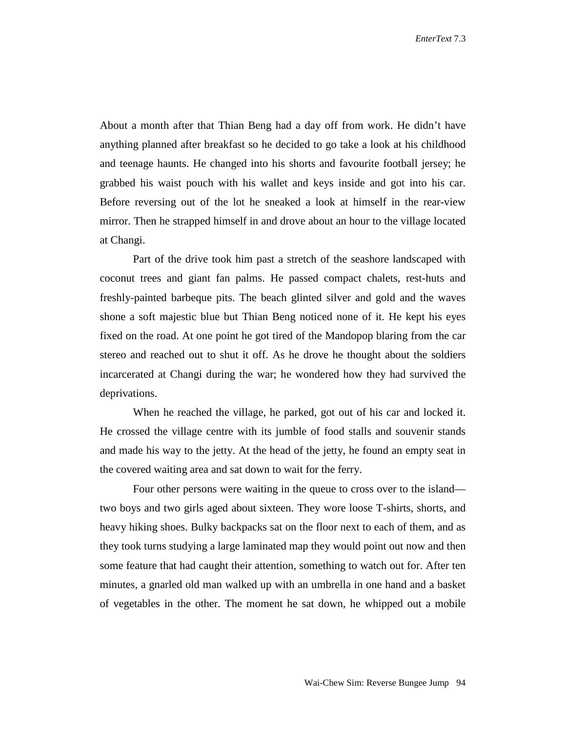About a month after that Thian Beng had a day off from work. He didn't have anything planned after breakfast so he decided to go take a look at his childhood and teenage haunts. He changed into his shorts and favourite football jersey; he grabbed his waist pouch with his wallet and keys inside and got into his car. Before reversing out of the lot he sneaked a look at himself in the rear-view mirror. Then he strapped himself in and drove about an hour to the village located at Changi.

Part of the drive took him past a stretch of the seashore landscaped with coconut trees and giant fan palms. He passed compact chalets, rest-huts and freshly-painted barbeque pits. The beach glinted silver and gold and the waves shone a soft majestic blue but Thian Beng noticed none of it. He kept his eyes fixed on the road. At one point he got tired of the Mandopop blaring from the car stereo and reached out to shut it off. As he drove he thought about the soldiers incarcerated at Changi during the war; he wondered how they had survived the deprivations.

When he reached the village, he parked, got out of his car and locked it. He crossed the village centre with its jumble of food stalls and souvenir stands and made his way to the jetty. At the head of the jetty, he found an empty seat in the covered waiting area and sat down to wait for the ferry.

Four other persons were waiting in the queue to cross over to the island two boys and two girls aged about sixteen. They wore loose T-shirts, shorts, and heavy hiking shoes. Bulky backpacks sat on the floor next to each of them, and as they took turns studying a large laminated map they would point out now and then some feature that had caught their attention, something to watch out for. After ten minutes, a gnarled old man walked up with an umbrella in one hand and a basket of vegetables in the other. The moment he sat down, he whipped out a mobile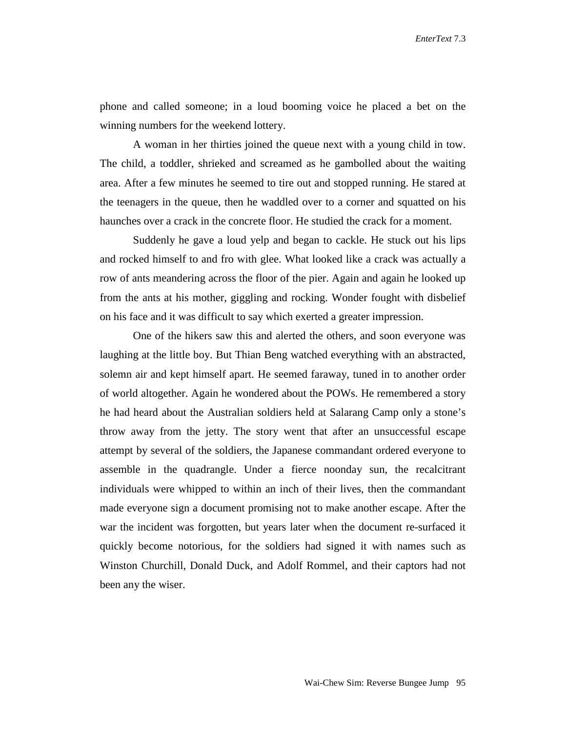*EnterText* 7.3

phone and called someone; in a loud booming voice he placed a bet on the winning numbers for the weekend lottery.

A woman in her thirties joined the queue next with a young child in tow. The child, a toddler, shrieked and screamed as he gambolled about the waiting area. After a few minutes he seemed to tire out and stopped running. He stared at the teenagers in the queue, then he waddled over to a corner and squatted on his haunches over a crack in the concrete floor. He studied the crack for a moment.

Suddenly he gave a loud yelp and began to cackle. He stuck out his lips and rocked himself to and fro with glee. What looked like a crack was actually a row of ants meandering across the floor of the pier. Again and again he looked up from the ants at his mother, giggling and rocking. Wonder fought with disbelief on his face and it was difficult to say which exerted a greater impression.

One of the hikers saw this and alerted the others, and soon everyone was laughing at the little boy. But Thian Beng watched everything with an abstracted, solemn air and kept himself apart. He seemed faraway, tuned in to another order of world altogether. Again he wondered about the POWs. He remembered a story he had heard about the Australian soldiers held at Salarang Camp only a stone's throw away from the jetty. The story went that after an unsuccessful escape attempt by several of the soldiers, the Japanese commandant ordered everyone to assemble in the quadrangle. Under a fierce noonday sun, the recalcitrant individuals were whipped to within an inch of their lives, then the commandant made everyone sign a document promising not to make another escape. After the war the incident was forgotten, but years later when the document re-surfaced it quickly become notorious, for the soldiers had signed it with names such as Winston Churchill, Donald Duck, and Adolf Rommel, and their captors had not been any the wiser.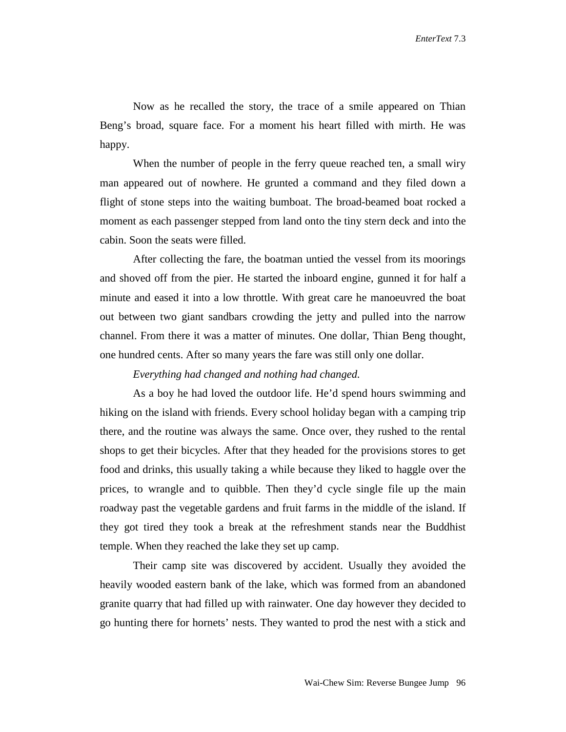Now as he recalled the story, the trace of a smile appeared on Thian Beng's broad, square face. For a moment his heart filled with mirth. He was happy.

When the number of people in the ferry queue reached ten, a small wiry man appeared out of nowhere. He grunted a command and they filed down a flight of stone steps into the waiting bumboat. The broad-beamed boat rocked a moment as each passenger stepped from land onto the tiny stern deck and into the cabin. Soon the seats were filled.

After collecting the fare, the boatman untied the vessel from its moorings and shoved off from the pier. He started the inboard engine, gunned it for half a minute and eased it into a low throttle. With great care he manoeuvred the boat out between two giant sandbars crowding the jetty and pulled into the narrow channel. From there it was a matter of minutes. One dollar, Thian Beng thought, one hundred cents. After so many years the fare was still only one dollar.

## *Everything had changed and nothing had changed.*

As a boy he had loved the outdoor life. He'd spend hours swimming and hiking on the island with friends. Every school holiday began with a camping trip there, and the routine was always the same. Once over, they rushed to the rental shops to get their bicycles. After that they headed for the provisions stores to get food and drinks, this usually taking a while because they liked to haggle over the prices, to wrangle and to quibble. Then they'd cycle single file up the main roadway past the vegetable gardens and fruit farms in the middle of the island. If they got tired they took a break at the refreshment stands near the Buddhist temple. When they reached the lake they set up camp.

Their camp site was discovered by accident. Usually they avoided the heavily wooded eastern bank of the lake, which was formed from an abandoned granite quarry that had filled up with rainwater. One day however they decided to go hunting there for hornets' nests. They wanted to prod the nest with a stick and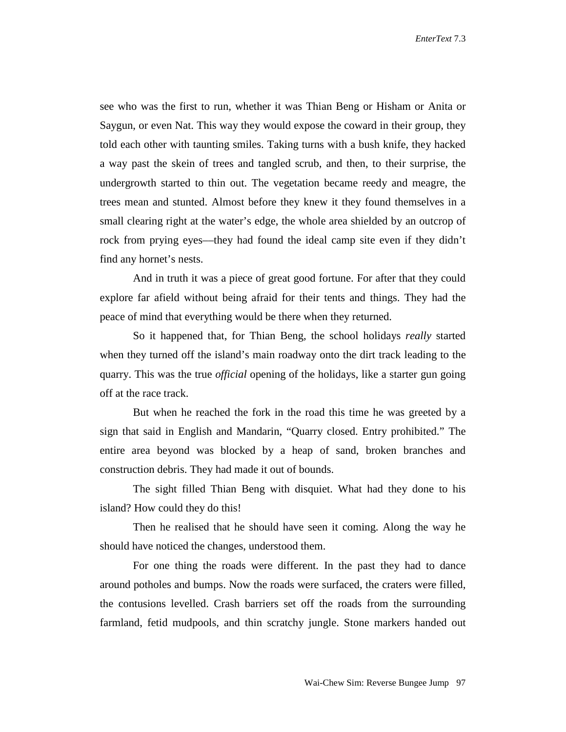*EnterText* 7.3

see who was the first to run, whether it was Thian Beng or Hisham or Anita or Saygun, or even Nat. This way they would expose the coward in their group, they told each other with taunting smiles. Taking turns with a bush knife, they hacked a way past the skein of trees and tangled scrub, and then, to their surprise, the undergrowth started to thin out. The vegetation became reedy and meagre, the trees mean and stunted. Almost before they knew it they found themselves in a small clearing right at the water's edge, the whole area shielded by an outcrop of rock from prying eyes––they had found the ideal camp site even if they didn't find any hornet's nests.

And in truth it was a piece of great good fortune. For after that they could explore far afield without being afraid for their tents and things. They had the peace of mind that everything would be there when they returned.

So it happened that, for Thian Beng, the school holidays *really* started when they turned off the island's main roadway onto the dirt track leading to the quarry. This was the true *official* opening of the holidays, like a starter gun going off at the race track.

But when he reached the fork in the road this time he was greeted by a sign that said in English and Mandarin, "Quarry closed. Entry prohibited." The entire area beyond was blocked by a heap of sand, broken branches and construction debris. They had made it out of bounds.

The sight filled Thian Beng with disquiet. What had they done to his island? How could they do this!

Then he realised that he should have seen it coming. Along the way he should have noticed the changes, understood them.

For one thing the roads were different. In the past they had to dance around potholes and bumps. Now the roads were surfaced, the craters were filled, the contusions levelled. Crash barriers set off the roads from the surrounding farmland, fetid mudpools, and thin scratchy jungle. Stone markers handed out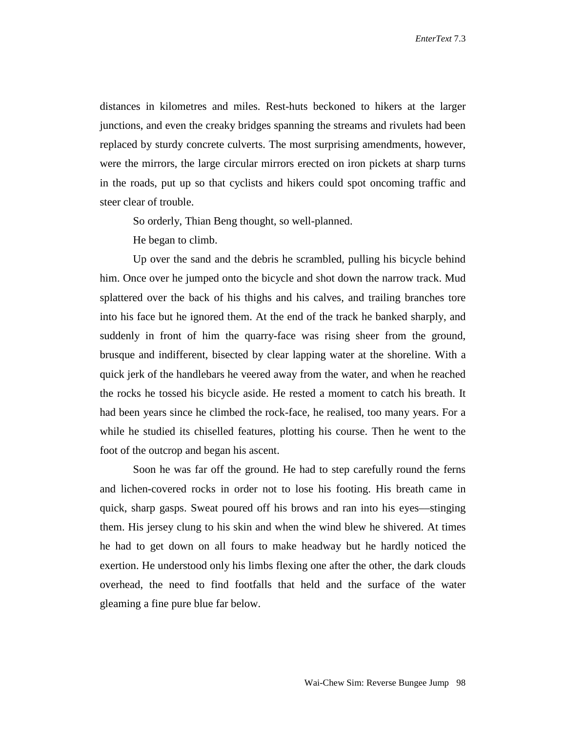*EnterText* 7.3

distances in kilometres and miles. Rest-huts beckoned to hikers at the larger junctions, and even the creaky bridges spanning the streams and rivulets had been replaced by sturdy concrete culverts. The most surprising amendments, however, were the mirrors, the large circular mirrors erected on iron pickets at sharp turns in the roads, put up so that cyclists and hikers could spot oncoming traffic and steer clear of trouble.

So orderly, Thian Beng thought, so well-planned.

He began to climb.

Up over the sand and the debris he scrambled, pulling his bicycle behind him. Once over he jumped onto the bicycle and shot down the narrow track. Mud splattered over the back of his thighs and his calves, and trailing branches tore into his face but he ignored them. At the end of the track he banked sharply, and suddenly in front of him the quarry-face was rising sheer from the ground, brusque and indifferent, bisected by clear lapping water at the shoreline. With a quick jerk of the handlebars he veered away from the water, and when he reached the rocks he tossed his bicycle aside. He rested a moment to catch his breath. It had been years since he climbed the rock-face, he realised, too many years. For a while he studied its chiselled features, plotting his course. Then he went to the foot of the outcrop and began his ascent.

 Soon he was far off the ground. He had to step carefully round the ferns and lichen-covered rocks in order not to lose his footing. His breath came in quick, sharp gasps. Sweat poured off his brows and ran into his eyes––stinging them. His jersey clung to his skin and when the wind blew he shivered. At times he had to get down on all fours to make headway but he hardly noticed the exertion. He understood only his limbs flexing one after the other, the dark clouds overhead, the need to find footfalls that held and the surface of the water gleaming a fine pure blue far below.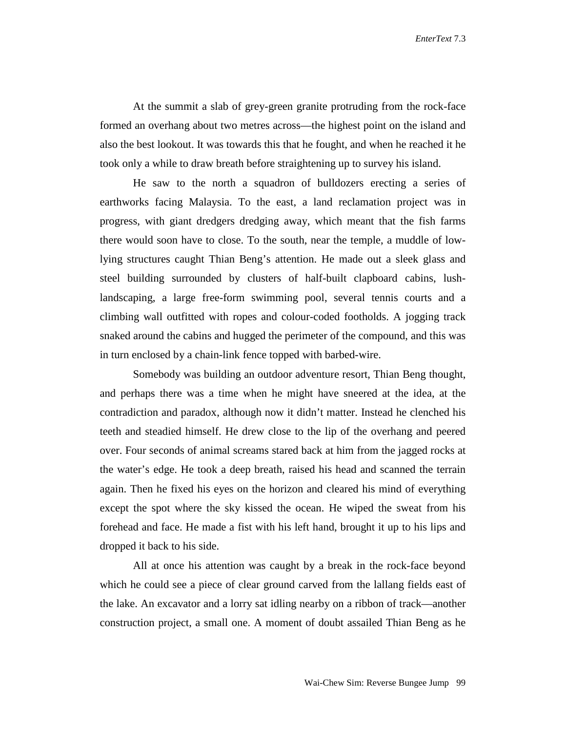At the summit a slab of grey-green granite protruding from the rock-face formed an overhang about two metres across––the highest point on the island and also the best lookout. It was towards this that he fought, and when he reached it he took only a while to draw breath before straightening up to survey his island.

He saw to the north a squadron of bulldozers erecting a series of earthworks facing Malaysia. To the east, a land reclamation project was in progress, with giant dredgers dredging away, which meant that the fish farms there would soon have to close. To the south, near the temple, a muddle of lowlying structures caught Thian Beng's attention. He made out a sleek glass and steel building surrounded by clusters of half-built clapboard cabins, lushlandscaping, a large free-form swimming pool, several tennis courts and a climbing wall outfitted with ropes and colour-coded footholds. A jogging track snaked around the cabins and hugged the perimeter of the compound, and this was in turn enclosed by a chain-link fence topped with barbed-wire.

Somebody was building an outdoor adventure resort, Thian Beng thought, and perhaps there was a time when he might have sneered at the idea, at the contradiction and paradox, although now it didn't matter. Instead he clenched his teeth and steadied himself. He drew close to the lip of the overhang and peered over. Four seconds of animal screams stared back at him from the jagged rocks at the water's edge. He took a deep breath, raised his head and scanned the terrain again. Then he fixed his eyes on the horizon and cleared his mind of everything except the spot where the sky kissed the ocean. He wiped the sweat from his forehead and face. He made a fist with his left hand, brought it up to his lips and dropped it back to his side.

All at once his attention was caught by a break in the rock-face beyond which he could see a piece of clear ground carved from the lallang fields east of the lake. An excavator and a lorry sat idling nearby on a ribbon of track––another construction project, a small one. A moment of doubt assailed Thian Beng as he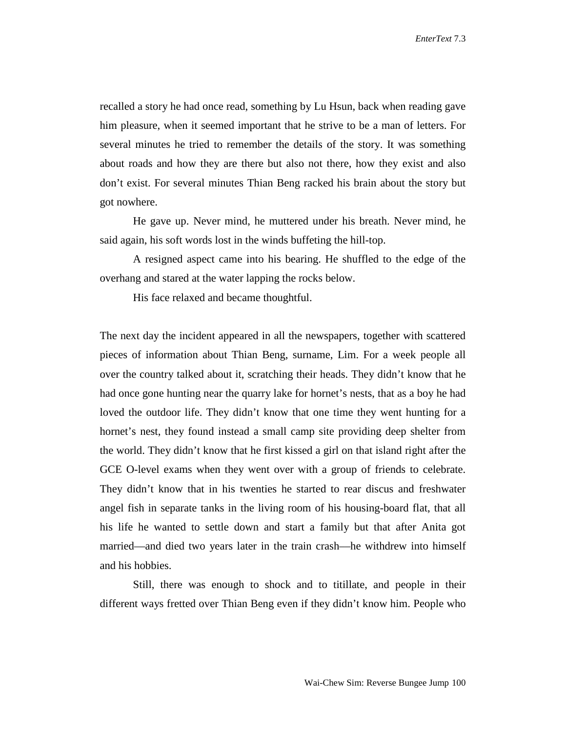recalled a story he had once read, something by Lu Hsun, back when reading gave him pleasure, when it seemed important that he strive to be a man of letters. For several minutes he tried to remember the details of the story. It was something about roads and how they are there but also not there, how they exist and also don't exist. For several minutes Thian Beng racked his brain about the story but got nowhere.

He gave up. Never mind, he muttered under his breath. Never mind, he said again, his soft words lost in the winds buffeting the hill-top.

A resigned aspect came into his bearing. He shuffled to the edge of the overhang and stared at the water lapping the rocks below.

His face relaxed and became thoughtful.

The next day the incident appeared in all the newspapers, together with scattered pieces of information about Thian Beng, surname, Lim. For a week people all over the country talked about it, scratching their heads. They didn't know that he had once gone hunting near the quarry lake for hornet's nests, that as a boy he had loved the outdoor life. They didn't know that one time they went hunting for a hornet's nest, they found instead a small camp site providing deep shelter from the world. They didn't know that he first kissed a girl on that island right after the GCE O-level exams when they went over with a group of friends to celebrate. They didn't know that in his twenties he started to rear discus and freshwater angel fish in separate tanks in the living room of his housing-board flat, that all his life he wanted to settle down and start a family but that after Anita got married––and died two years later in the train crash––he withdrew into himself and his hobbies.

Still, there was enough to shock and to titillate, and people in their different ways fretted over Thian Beng even if they didn't know him. People who